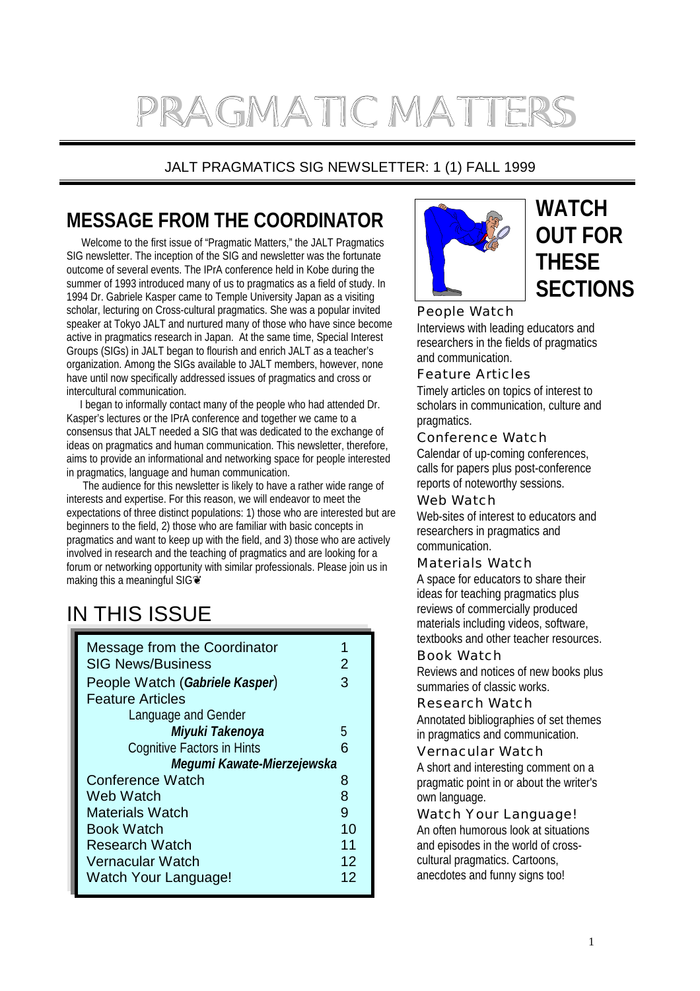# PRAGMATIC MATTERS

## JALT PRAGMATICS SIG NEWSLETTER: 1 (1) FALL 1999

# **MESSAGE FROM THE COORDINATOR**

 Welcome to the first issue of "Pragmatic Matters," the JALT Pragmatics SIG newsletter. The inception of the SIG and newsletter was the fortunate outcome of several events. The IPrA conference held in Kobe during the summer of 1993 introduced many of us to pragmatics as a field of study. In 1994 Dr. Gabriele Kasper came to Temple University Japan as a visiting scholar, lecturing on Cross-cultural pragmatics. She was a popular invited speaker at Tokyo JALT and nurtured many of those who have since become active in pragmatics research in Japan. At the same time, Special Interest Groups (SIGs) in JALT began to flourish and enrich JALT as a teacher's organization. Among the SIGs available to JALT members, however, none have until now specifically addressed issues of pragmatics and cross or intercultural communication.

 I began to informally contact many of the people who had attended Dr. Kasper's lectures or the IPrA conference and together we came to a consensus that JALT needed a SIG that was dedicated to the exchange of ideas on pragmatics and human communication. This newsletter, therefore, aims to provide an informational and networking space for people interested in pragmatics, language and human communication.

 The audience for this newsletter is likely to have a rather wide range of interests and expertise. For this reason, we will endeavor to meet the expectations of three distinct populations: 1) those who are interested but are beginners to the field, 2) those who are familiar with basic concepts in pragmatics and want to keep up with the field, and 3) those who are actively involved in research and the teaching of pragmatics and are looking for a forum or networking opportunity with similar professionals. Please join us in making this a meaningful SIGO

# IN THIS ISSUE

| Message from the Coordinator<br><b>SIG News/Business</b> | 2  |
|----------------------------------------------------------|----|
| People Watch (Gabriele Kasper)                           | З  |
| <b>Feature Articles</b>                                  |    |
| Language and Gender                                      |    |
| Miyuki Takenoya                                          | 5  |
| <b>Cognitive Factors in Hints</b>                        | 6  |
| Megumi Kawate-Mierzejewska                               |    |
| Conference Watch                                         | 8  |
| Web Watch                                                | 8  |
| Materials Watch                                          | 9  |
| Book Watch                                               | 10 |
| Research Watch                                           | 11 |
| <b>Vernacular Watch</b>                                  | 12 |
| Watch Your Language!                                     | 12 |



## **WATCH OUT FOR THESE SECTIONS**

People Watch Interviews with leading educators and researchers in the fields of pragmatics and communication.

Feature Articles

Timely articles on topics of interest to scholars in communication, culture and pragmatics.

### Conference Watch

Calendar of up-coming conferences, calls for papers plus post-conference reports of noteworthy sessions.

Web Watch

Web-sites of interest to educators and researchers in pragmatics and communication.

### Materials Watch

A space for educators to share their ideas for teaching pragmatics plus reviews of commercially produced materials including videos, software, textbooks and other teacher resources.

Book Watch Reviews and notices of new books plus

summaries of classic works.

Research Watch

Annotated bibliographies of set themes in pragmatics and communication.

Vernacular Watch A short and interesting comment on a pragmatic point in or about the writer's own language.

Watch Your Language! An often humorous look at situations and episodes in the world of crosscultural pragmatics. Cartoons, anecdotes and funny signs too!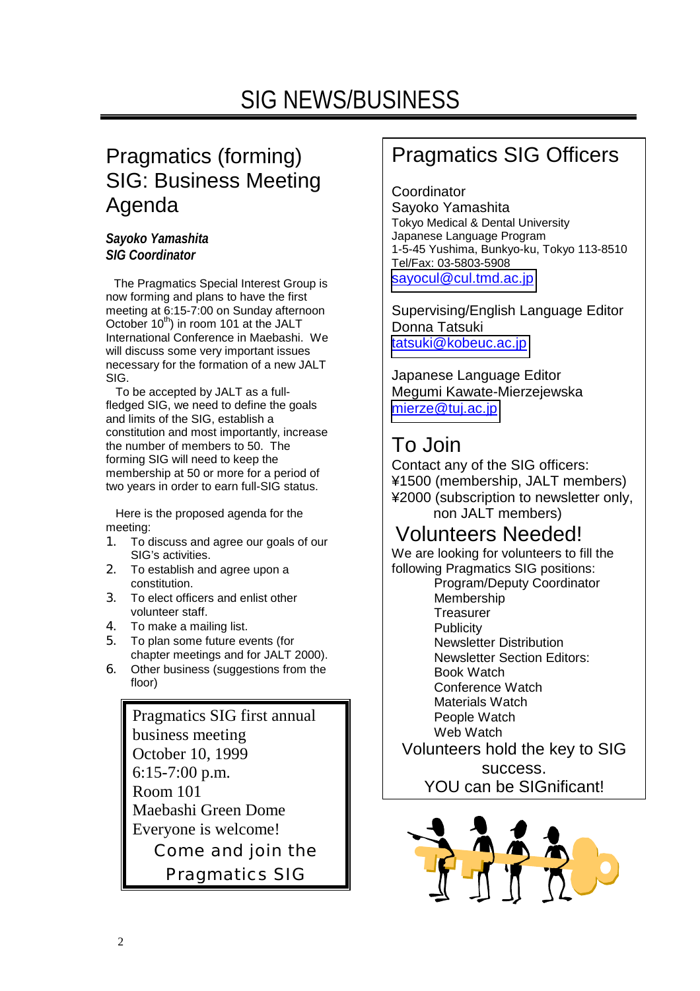# SIG NEWS/BUSINESS

## Pragmatics (forming) SIG: Business Meeting Agenda

### *Sayoko Yamashita SIG Coordinator*

 The Pragmatics Special Interest Group is now forming and plans to have the first meeting at 6:15-7:00 on Sunday afternoon October 10<sup>th</sup>) in room 101 at the JALT International Conference in Maebashi. We will discuss some very important issues necessary for the formation of a new JALT SIG.

 To be accepted by JALT as a fullfledged SIG, we need to define the goals and limits of the SIG, establish a constitution and most importantly, increase the number of members to 50. The forming SIG will need to keep the membership at 50 or more for a period of two years in order to earn full-SIG status.

 Here is the proposed agenda for the meeting:

- 1. To discuss and agree our goals of our SIG's activities.
- 2. To establish and agree upon a constitution.
- 3. To elect officers and enlist other volunteer staff.
- 4. To make a mailing list.
- 5. To plan some future events (for chapter meetings and for JALT 2000).
- 6. Other business (suggestions from the floor)

Pragmatics SIG first annual business meeting October 10, 1999 6:15-7:00 p.m. Room 101 Maebashi Green Dome Everyone is welcome! Come and join the Pragmatics SIG

## Pragmatics SIG Officers

**Coordinator** Sayoko Yamashita Tokyo Medical & Dental University Japanese Language Program 1-5-45 Yushima, Bunkyo-ku, Tokyo 113-8510 Tel/Fax: 03-5803-5908 [sayocul@cul.tmd.ac.jp](mailto:sayocul@cul.tmd.ac.jp)

Supervising/English Language Editor Donna Tatsuki [tatsuki@kobeuc.ac.jp](mailto:tatsuki@kobeuc.ac.jp)

Japanese Language Editor Megumi Kawate-Mierzejewska mierze@tui.ac.jp

# To Join

Contact any of the SIG officers: ¥1500 (membership, JALT members) ¥2000 (subscription to newsletter only, non JALT members)

## Volunteers Needed!

We are looking for volunteers to fill the following Pragmatics SIG positions:

Program/Deputy Coordinator Membership **Treasurer Publicity** Newsletter Distribution Newsletter Section Editors: Book Watch Conference Watch Materials Watch People Watch Web Watch

Volunteers hold the key to SIG success. YOU can be SIGnificant!

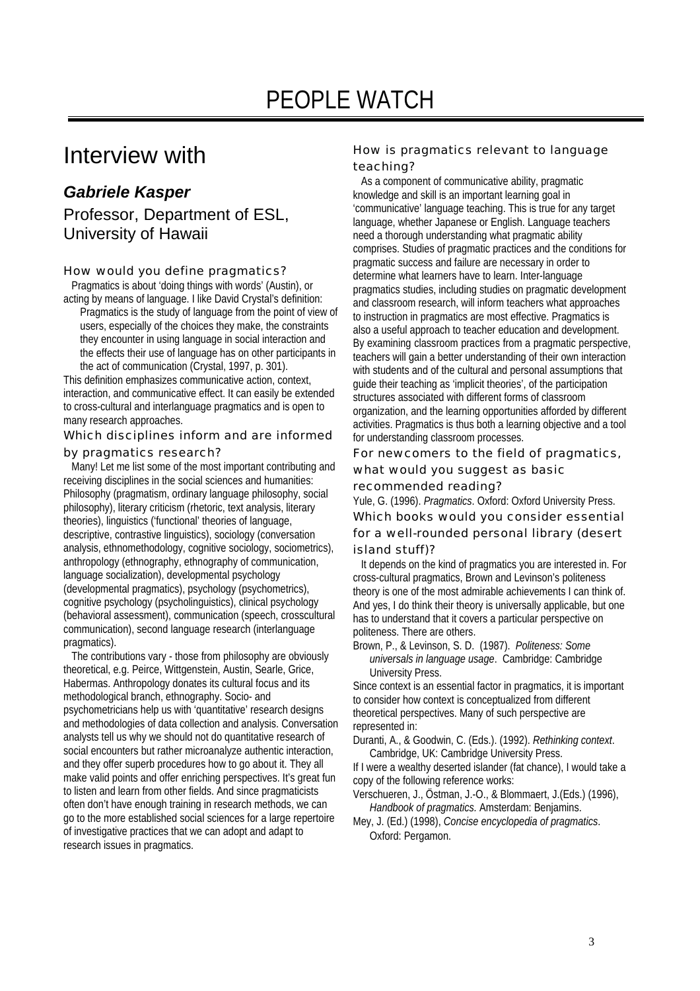## Interview with

## *Gabriele Kasper*  Professor, Department of ESL, University of Hawaii

How would you define pragmatics?

 Pragmatics is about 'doing things with words' (Austin), or acting by means of language. I like David Crystal's definition:

Pragmatics is the study of language from the point of view of users, especially of the choices they make, the constraints they encounter in using language in social interaction and the effects their use of language has on other participants in the act of communication (Crystal, 1997, p. 301).

This definition emphasizes communicative action, context, interaction, and communicative effect. It can easily be extended to cross-cultural and interlanguage pragmatics and is open to many research approaches.

Which disciplines inform and are informed

by pragmatics research?

 Many! Let me list some of the most important contributing and receiving disciplines in the social sciences and humanities: Philosophy (pragmatism, ordinary language philosophy, social philosophy), literary criticism (rhetoric, text analysis, literary theories), linguistics ('functional' theories of language, descriptive, contrastive linguistics), sociology (conversation analysis, ethnomethodology, cognitive sociology, sociometrics), anthropology (ethnography, ethnography of communication, language socialization), developmental psychology (developmental pragmatics), psychology (psychometrics), cognitive psychology (psycholinguistics), clinical psychology (behavioral assessment), communication (speech, crosscultural communication), second language research (interlanguage pragmatics).

 The contributions vary - those from philosophy are obviously theoretical, e.g. Peirce, Wittgenstein, Austin, Searle, Grice, Habermas. Anthropology donates its cultural focus and its methodological branch, ethnography. Socio- and psychometricians help us with 'quantitative' research designs and methodologies of data collection and analysis. Conversation analysts tell us why we should not do quantitative research of social encounters but rather microanalyze authentic interaction, and they offer superb procedures how to go about it. They all make valid points and offer enriching perspectives. It's great fun to listen and learn from other fields. And since pragmaticists often don't have enough training in research methods, we can go to the more established social sciences for a large repertoire of investigative practices that we can adopt and adapt to research issues in pragmatics.

How is pragmatics relevant to language teaching?

 As a component of communicative ability, pragmatic knowledge and skill is an important learning goal in 'communicative' language teaching. This is true for any target language, whether Japanese or English. Language teachers need a thorough understanding what pragmatic ability comprises. Studies of pragmatic practices and the conditions for pragmatic success and failure are necessary in order to determine what learners have to learn. Inter-language pragmatics studies, including studies on pragmatic development and classroom research, will inform teachers what approaches to instruction in pragmatics are most effective. Pragmatics is also a useful approach to teacher education and development. By examining classroom practices from a pragmatic perspective, teachers will gain a better understanding of their own interaction with students and of the cultural and personal assumptions that guide their teaching as 'implicit theories', of the participation structures associated with different forms of classroom organization, and the learning opportunities afforded by different activities. Pragmatics is thus both a learning objective and a tool for understanding classroom processes.

For newcomers to the field of pragmatics, what would you suggest as basic

recommended reading?

Yule, G. (1996). *Pragmatics*. Oxford: Oxford University Press. Which books would you consider essential for a well-rounded personal library (desert island stuff)?

 It depends on the kind of pragmatics you are interested in. For cross-cultural pragmatics, Brown and Levinson's politeness theory is one of the most admirable achievements I can think of. And yes, I do think their theory is universally applicable, but one has to understand that it covers a particular perspective on politeness. There are others.

Brown, P., & Levinson, S. D. (1987). *Politeness: Some universals in language usage*. Cambridge: Cambridge University Press.

Since context is an essential factor in pragmatics, it is important to consider how context is conceptualized from different theoretical perspectives. Many of such perspective are represented in:

Duranti, A., & Goodwin, C. (Eds.). (1992). *Rethinking context*. Cambridge, UK: Cambridge University Press.

If I were a wealthy deserted islander (fat chance), I would take a copy of the following reference works:

Verschueren, J., Östman, J.-O., & Blommaert, J.(Eds.) (1996), *Handbook of pragmatics.* Amsterdam: Benjamins.

Mey, J. (Ed.) (1998), *Concise encyclopedia of pragmatics*. Oxford: Pergamon.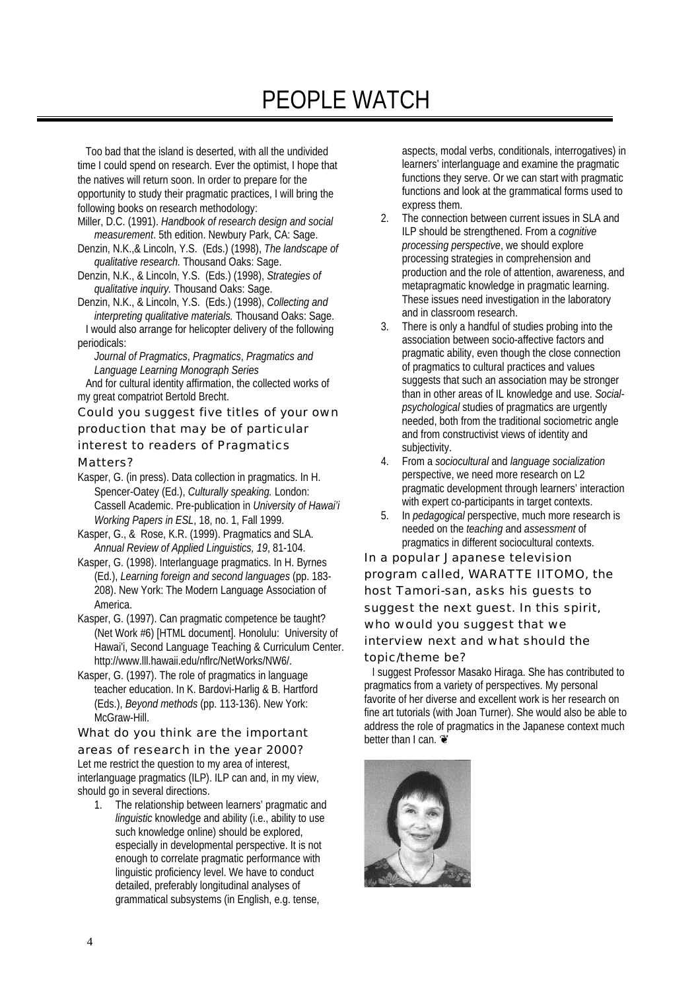# PEOPLE WATCH

 Too bad that the island is deserted, with all the undivided time I could spend on research. Ever the optimist, I hope that the natives will return soon. In order to prepare for the opportunity to study their pragmatic practices, I will bring the following books on research methodology:

- Miller, D.C. (1991). *Handbook of research design and social measurement*. 5th edition. Newbury Park, CA: Sage.
- Denzin, N.K.,& Lincoln, Y.S. (Eds.) (1998), *The landscape of qualitative research.* Thousand Oaks: Sage.
- Denzin, N.K., & Lincoln, Y.S. (Eds.) (1998), *Strategies of qualitative inquiry.* Thousand Oaks: Sage.
- Denzin, N.K., & Lincoln, Y.S. (Eds.) (1998), *Collecting and interpreting qualitative materials.* Thousand Oaks: Sage. I would also arrange for helicopter delivery of the following periodicals:

*Journal of Pragmatics*, *Pragmatics*, *Pragmatics and Language Learning Monograph Series* 

 And for cultural identity affirmation, the collected works of my great compatriot Bertold Brecht.

Could you suggest five titles of your own

production that may be of particular

interest to readers of *Pragmatics* 

*Matters?*

- Kasper, G. (in press). Data collection in pragmatics. In H. Spencer-Oatey (Ed.), *Culturally speaking.* London: Cassell Academic. Pre-publication in *University of Hawai'i Working Papers in ESL*, 18, no. 1, Fall 1999.
- Kasper, G., & Rose, K.R. (1999). Pragmatics and SLA. *Annual Review of Applied Linguistics, 19*, 81-104.
- Kasper, G. (1998). Interlanguage pragmatics. In H. Byrnes (Ed.), *Learning foreign and second languages* (pp. 183- 208). New York: The Modern Language Association of America.
- Kasper, G. (1997). Can pragmatic competence be taught? (Net Work #6) [HTML document]. Honolulu: University of Hawai'i, Second Language Teaching & Curriculum Center. http://www.lll.hawaii.edu/nflrc/NetWorks/NW6/.
- Kasper, G. (1997). The role of pragmatics in language teacher education. In K. Bardovi-Harlig & B. Hartford (Eds.), *Beyond methods* (pp. 113-136). New York: McGraw-Hill

What do you think are the important areas of research in the year 2000? Let me restrict the question to my area of interest, interlanguage pragmatics (ILP). ILP can and, in my view, should go in several directions.

1. The relationship between learners' pragmatic and *linguistic* knowledge and ability (i.e., ability to use such knowledge online) should be explored, especially in developmental perspective. It is not enough to correlate pragmatic performance with linguistic proficiency level. We have to conduct detailed, preferably longitudinal analyses of grammatical subsystems (in English, e.g. tense,

aspects, modal verbs, conditionals, interrogatives) in learners' interlanguage and examine the pragmatic functions they serve. Or we can start with pragmatic functions and look at the grammatical forms used to express them.

- 2. The connection between current issues in SLA and ILP should be strengthened. From a *cognitive processing perspective*, we should explore processing strategies in comprehension and production and the role of attention, awareness, and metapragmatic knowledge in pragmatic learning. These issues need investigation in the laboratory and in classroom research.
- 3. There is only a handful of studies probing into the association between socio-affective factors and pragmatic ability, even though the close connection of pragmatics to cultural practices and values suggests that such an association may be stronger than in other areas of IL knowledge and use. *Socialpsychological* studies of pragmatics are urgently needed, both from the traditional sociometric angle and from constructivist views of identity and subjectivity.
- 4. From a *sociocultural* and *language socialization*  perspective, we need more research on L2 pragmatic development through learners' interaction with expert co-participants in target contexts.
- 5. In *pedagogical* perspective, much more research is needed on the *teaching* and *assessment* of pragmatics in different sociocultural contexts.

In a popular Japanese television program called, WARATTE IITOMO, the host Tamori-san, asks his guests to suggest the next guest. In this spirit, who would you suggest that we interview next and what should the topic/theme be?

I suggest Professor Masako Hiraga. She has contributed to pragmatics from a variety of perspectives. My personal favorite of her diverse and excellent work is her research on fine art tutorials (with Joan Turner). She would also be able to address the role of pragmatics in the Japanese context much better than I can.  $\circledast$ 

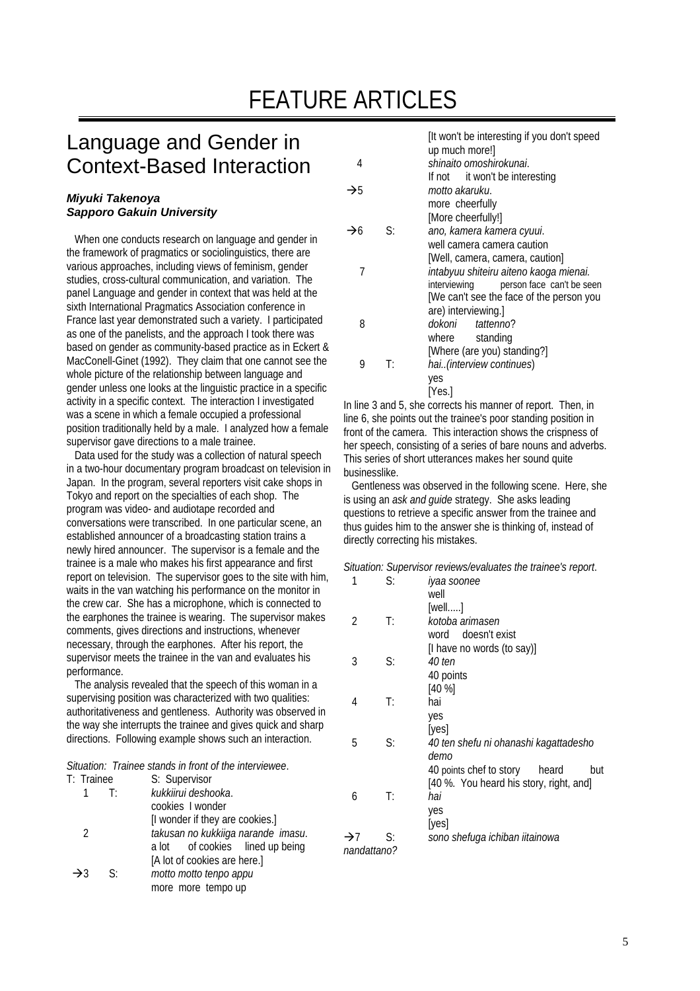# FEATURE ARTICLES

## Language and Gender in Context-Based Interaction

#### *Miyuki Takenoya Sapporo Gakuin University*

 When one conducts research on language and gender in the framework of pragmatics or sociolinguistics, there are various approaches, including views of feminism, gender studies, cross-cultural communication, and variation. The panel Language and gender in context that was held at the sixth International Pragmatics Association conference in France last year demonstrated such a variety. I participated as one of the panelists, and the approach I took there was based on gender as community-based practice as in Eckert & MacConell-Ginet (1992). They claim that one cannot see the whole picture of the relationship between language and gender unless one looks at the linguistic practice in a specific activity in a specific context. The interaction I investigated was a scene in which a female occupied a professional position traditionally held by a male. I analyzed how a female supervisor gave directions to a male trainee.

 Data used for the study was a collection of natural speech in a two-hour documentary program broadcast on television in Japan. In the program, several reporters visit cake shops in Tokyo and report on the specialties of each shop. The program was video- and audiotape recorded and conversations were transcribed. In one particular scene, an established announcer of a broadcasting station trains a newly hired announcer. The supervisor is a female and the trainee is a male who makes his first appearance and first report on television. The supervisor goes to the site with him, waits in the van watching his performance on the monitor in the crew car. She has a microphone, which is connected to the earphones the trainee is wearing. The supervisor makes comments, gives directions and instructions, whenever necessary, through the earphones. After his report, the supervisor meets the trainee in the van and evaluates his performance.

 The analysis revealed that the speech of this woman in a supervising position was characterized with two qualities: authoritativeness and gentleness. Authority was observed in the way she interrupts the trainee and gives quick and sharp directions. Following example shows such an interaction.

#### *Situation: Trainee stands in front of the interviewee*.

| T: Trainee      |                            | S: Supervisor                      |
|-----------------|----------------------------|------------------------------------|
| 1               | $-\mathsf{T}^{\mathsf{r}}$ | kukkiirui deshooka.                |
|                 |                            | cookies I wonder                   |
|                 |                            | [I wonder if they are cookies.]    |
| $\mathcal{P}$   |                            | takusan no kukkiiga narande imasu. |
|                 |                            | a lot of cookies lined up being    |
|                 |                            | [A lot of cookies are here.]       |
| $\rightarrow$ 3 | -S:                        | motto motto tenpo appu             |
|                 |                            | more more tempo up                 |
|                 |                            |                                    |

| shinaito omoshirokunai.<br>4<br>If not it won't be interesting<br>$\rightarrow$ 5<br>motto akaruku.<br>more cheerfully<br>[More cheerfully!]<br>ano, kamera kamera cyuui.<br>$\rightarrow$ 6<br>S:<br>well camera camera caution<br>[Well, camera, camera, caution]<br>7<br>intabyuu shiteiru aiteno kaoga mienai.<br>interviewing<br>person face can't be seen<br>[We can't see the face of the person you<br>are) interviewing.]<br>8<br>dokoni<br><i>tattenno</i> ?<br>where<br>standing<br>[Where (are you) standing?] |   |    | It won't be interesting if you don't speed<br>up much more!] |
|----------------------------------------------------------------------------------------------------------------------------------------------------------------------------------------------------------------------------------------------------------------------------------------------------------------------------------------------------------------------------------------------------------------------------------------------------------------------------------------------------------------------------|---|----|--------------------------------------------------------------|
|                                                                                                                                                                                                                                                                                                                                                                                                                                                                                                                            |   |    |                                                              |
|                                                                                                                                                                                                                                                                                                                                                                                                                                                                                                                            |   |    |                                                              |
|                                                                                                                                                                                                                                                                                                                                                                                                                                                                                                                            |   |    |                                                              |
|                                                                                                                                                                                                                                                                                                                                                                                                                                                                                                                            |   |    |                                                              |
|                                                                                                                                                                                                                                                                                                                                                                                                                                                                                                                            |   |    |                                                              |
|                                                                                                                                                                                                                                                                                                                                                                                                                                                                                                                            |   |    |                                                              |
|                                                                                                                                                                                                                                                                                                                                                                                                                                                                                                                            |   |    |                                                              |
|                                                                                                                                                                                                                                                                                                                                                                                                                                                                                                                            |   |    |                                                              |
|                                                                                                                                                                                                                                                                                                                                                                                                                                                                                                                            |   |    |                                                              |
|                                                                                                                                                                                                                                                                                                                                                                                                                                                                                                                            |   |    |                                                              |
|                                                                                                                                                                                                                                                                                                                                                                                                                                                                                                                            |   |    |                                                              |
|                                                                                                                                                                                                                                                                                                                                                                                                                                                                                                                            |   |    |                                                              |
|                                                                                                                                                                                                                                                                                                                                                                                                                                                                                                                            |   |    |                                                              |
|                                                                                                                                                                                                                                                                                                                                                                                                                                                                                                                            |   |    |                                                              |
|                                                                                                                                                                                                                                                                                                                                                                                                                                                                                                                            |   |    |                                                              |
|                                                                                                                                                                                                                                                                                                                                                                                                                                                                                                                            | 9 | T: | hai(interview continues)                                     |
| yes                                                                                                                                                                                                                                                                                                                                                                                                                                                                                                                        |   |    |                                                              |
| [Yes.]                                                                                                                                                                                                                                                                                                                                                                                                                                                                                                                     |   |    |                                                              |

In line 3 and 5, she corrects his manner of report. Then, in line 6, she points out the trainee's poor standing position in front of the camera. This interaction shows the crispness of her speech, consisting of a series of bare nouns and adverbs. This series of short utterances makes her sound quite businesslike.

 Gentleness was observed in the following scene. Here, she is using an *ask and guide* strategy. She asks leading questions to retrieve a specific answer from the trainee and thus guides him to the answer she is thinking of, instead of directly correcting his mistakes.

#### *Situation: Supervisor reviews/evaluates the trainee's report*.

| 1               | S:          | iyaa soonee                             |
|-----------------|-------------|-----------------------------------------|
|                 |             | well                                    |
|                 |             | [well]                                  |
| 2               | T:          | kotoba arimasen                         |
|                 |             | word doesn't exist                      |
|                 |             | [I have no words (to say)]              |
| 3               | S:          | 40 ten                                  |
|                 |             | 40 points                               |
|                 |             | $[40 \%]$                               |
| 4               | T:          | hai                                     |
|                 |             | yes                                     |
|                 |             | [yes]                                   |
| 5               | S:          | 40 ten shefu ni ohanashi kagattadesho   |
|                 |             | demo                                    |
|                 |             | 40 points chef to story<br>heard<br>but |
|                 |             | [40 %. You heard his story, right, and] |
| 6               | T:          | hai                                     |
|                 |             | yes                                     |
|                 |             | [yes]                                   |
| $\rightarrow$ 7 | S:          | sono shefuga ichiban iitainowa          |
|                 | nandattano? |                                         |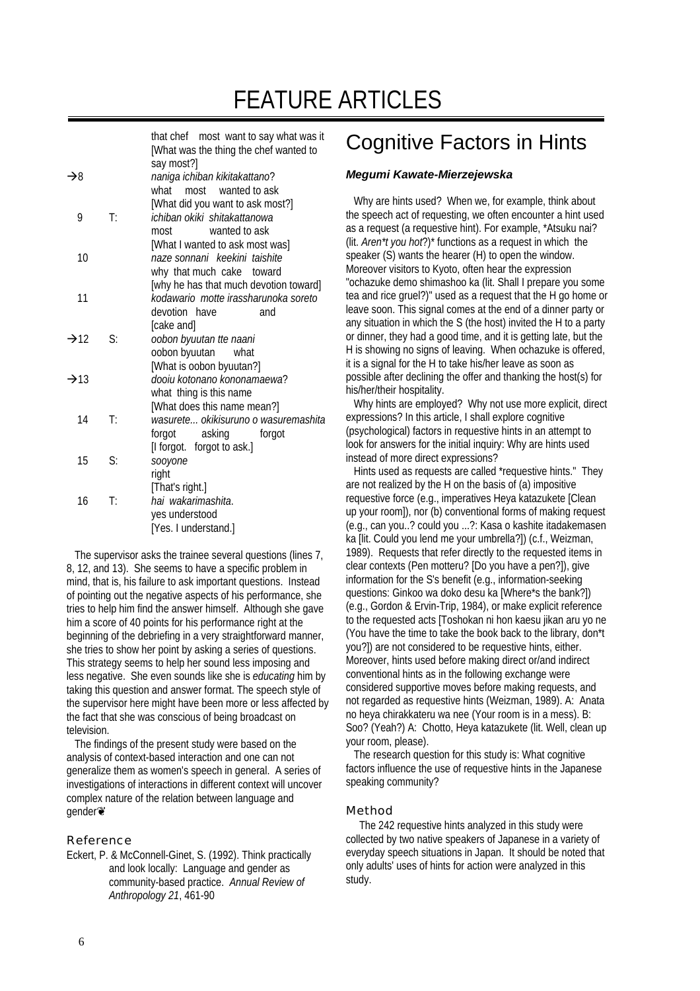# FEATURE ARTICLES

|                | that chef most want to say what was it<br>[What was the thing the chef wanted to<br>say most?]<br>naniga ichiban kikitakattano?<br>what most wanted to ask |
|----------------|------------------------------------------------------------------------------------------------------------------------------------------------------------|
| $\mathsf{T}$ : | [What did you want to ask most?]<br>ichiban okiki shitakattanowa                                                                                           |
|                | wanted to ask<br>most<br>[What I wanted to ask most was]<br>naze sonnani keekini taishite<br>why that much cake<br>toward                                  |
|                | [why he has that much devotion toward]<br>kodawario motte irassharunoka soreto<br>devotion have<br>and                                                     |
| S:             | [cake and]<br>oobon byuutan tte naani<br>oobon byuutan<br>what                                                                                             |
|                | [What is oobon byuutan?]<br>dooju kotonano kononamaewa?<br>what thing is this name                                                                         |
| T:             | [What does this name mean?]<br>wasurete okikisuruno o wasuremashita<br>forgot asking<br>forgot                                                             |
| S:             | [I forgot. forgot to ask.]<br>sooyone<br>right                                                                                                             |
| T:             | [That's right.]<br>hai wakarimashita.<br>yes understood<br>[Yes. I understand.]                                                                            |
|                |                                                                                                                                                            |

 The supervisor asks the trainee several questions (lines 7, 8, 12, and 13). She seems to have a specific problem in mind, that is, his failure to ask important questions. Instead of pointing out the negative aspects of his performance, she tries to help him find the answer himself. Although she gave him a score of 40 points for his performance right at the beginning of the debriefing in a very straightforward manner, she tries to show her point by asking a series of questions. This strategy seems to help her sound less imposing and less negative. She even sounds like she is *educating* him by taking this question and answer format. The speech style of the supervisor here might have been more or less affected by the fact that she was conscious of being broadcast on television.

 The findings of the present study were based on the analysis of context-based interaction and one can not generalize them as women's speech in general. A series of investigations of interactions in different context will uncover complex nature of the relation between language and gender❦

#### Reference

Eckert, P. & McConnell-Ginet, S. (1992). Think practically and look locally: Language and gender as community-based practice. *Annual Review of Anthropology 21*, 461-90

## Cognitive Factors in Hints

#### *Megumi Kawate-Mierzejewska*

 Why are hints used? When we, for example, think about the speech act of requesting, we often encounter a hint used as a request (a requestive hint). For example, \*Atsuku nai? (lit. *Aren\*t you hot*?)\* functions as a request in which the speaker (S) wants the hearer (H) to open the window. Moreover visitors to Kyoto, often hear the expression "ochazuke demo shimashoo ka (lit. Shall I prepare you some tea and rice gruel?)" used as a request that the H go home or leave soon. This signal comes at the end of a dinner party or any situation in which the S (the host) invited the H to a party or dinner, they had a good time, and it is getting late, but the H is showing no signs of leaving. When ochazuke is offered, it is a signal for the H to take his/her leave as soon as possible after declining the offer and thanking the host(s) for his/her/their hospitality.

 Why hints are employed? Why not use more explicit, direct expressions? In this article, I shall explore cognitive (psychological) factors in requestive hints in an attempt to look for answers for the initial inquiry: Why are hints used instead of more direct expressions?

 Hints used as requests are called \*requestive hints." They are not realized by the H on the basis of (a) impositive requestive force (e.g., imperatives Heya katazukete [Clean up your room]), nor (b) conventional forms of making request (e.g., can you..? could you ...?: Kasa o kashite itadakemasen ka [lit. Could you lend me your umbrella?]) (c.f., Weizman, 1989). Requests that refer directly to the requested items in clear contexts (Pen motteru? [Do you have a pen?]), give information for the S's benefit (e.g., information-seeking questions: Ginkoo wa doko desu ka [Where\*s the bank?]) (e.g., Gordon & Ervin-Trip, 1984), or make explicit reference to the requested acts [Toshokan ni hon kaesu jikan aru yo ne (You have the time to take the book back to the library, don\*t you?]) are not considered to be requestive hints, either. Moreover, hints used before making direct or/and indirect conventional hints as in the following exchange were considered supportive moves before making requests, and not regarded as requestive hints (Weizman, 1989). A: Anata no heya chirakkateru wa nee (Your room is in a mess). B: Soo? (Yeah?) A: Chotto, Heya katazukete (lit. Well, clean up your room, please).

 The research question for this study is: What cognitive factors influence the use of requestive hints in the Japanese speaking community?

#### Method

 The 242 requestive hints analyzed in this study were collected by two native speakers of Japanese in a variety of everyday speech situations in Japan. It should be noted that only adults' uses of hints for action were analyzed in this study.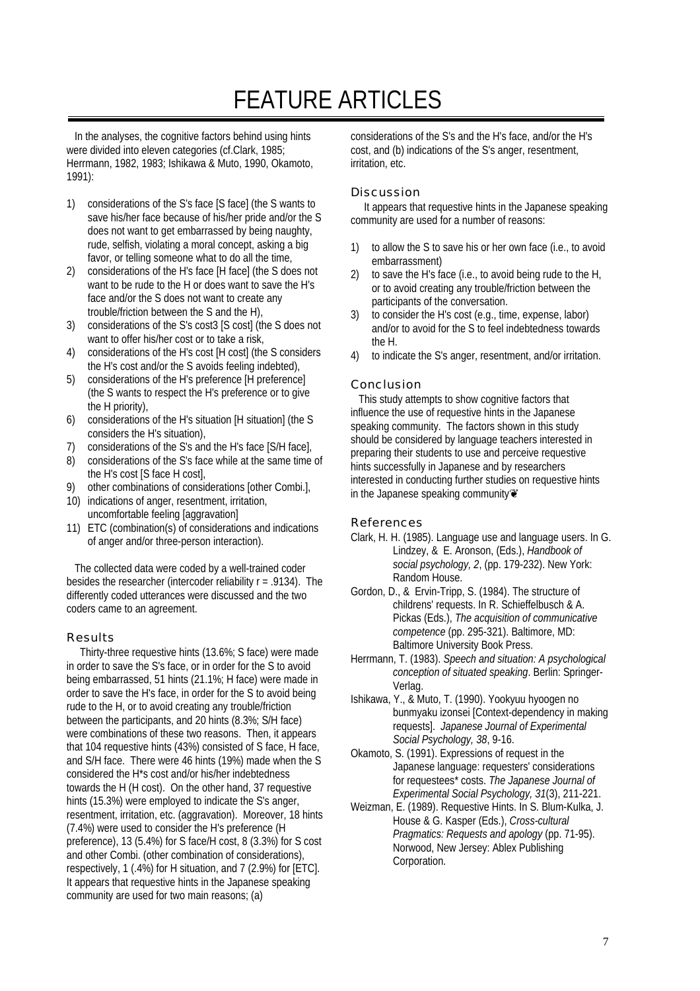# FEATURE ARTICLES

 In the analyses, the cognitive factors behind using hints were divided into eleven categories (cf.Clark, 1985; Herrmann, 1982, 1983; Ishikawa & Muto, 1990, Okamoto, 1991):

- 1) considerations of the S's face [S face] (the S wants to save his/her face because of his/her pride and/or the S does not want to get embarrassed by being naughty, rude, selfish, violating a moral concept, asking a big favor, or telling someone what to do all the time,
- 2) considerations of the H's face [H face] (the S does not want to be rude to the H or does want to save the H's face and/or the S does not want to create any trouble/friction between the S and the H),
- 3) considerations of the S's cost3 [S cost] (the S does not want to offer his/her cost or to take a risk,
- 4) considerations of the H's cost [H cost] (the S considers the H's cost and/or the S avoids feeling indebted),
- 5) considerations of the H's preference [H preference] (the S wants to respect the H's preference or to give the H priority),
- 6) considerations of the H's situation [H situation] (the S considers the H's situation),
- 7) considerations of the S's and the H's face [S/H face],
- 8) considerations of the S's face while at the same time of the H's cost [S face H cost],
- 9) other combinations of considerations [other Combi.],
- 10) indications of anger, resentment, irritation, uncomfortable feeling [aggravation]
- 11) ETC (combination(s) of considerations and indications of anger and/or three-person interaction).

 The collected data were coded by a well-trained coder besides the researcher (intercoder reliability r = .9134). The differently coded utterances were discussed and the two coders came to an agreement.

#### Results

 Thirty-three requestive hints (13.6%; S face) were made in order to save the S's face, or in order for the S to avoid being embarrassed, 51 hints (21.1%; H face) were made in order to save the H's face, in order for the S to avoid being rude to the H, or to avoid creating any trouble/friction between the participants, and 20 hints (8.3%; S/H face) were combinations of these two reasons. Then, it appears that 104 requestive hints (43%) consisted of S face, H face, and S/H face. There were 46 hints (19%) made when the S considered the H\*s cost and/or his/her indebtedness towards the H (H cost). On the other hand, 37 requestive hints (15.3%) were employed to indicate the S's anger, resentment, irritation, etc. (aggravation). Moreover, 18 hints (7.4%) were used to consider the H's preference (H preference), 13 (5.4%) for S face/H cost, 8 (3.3%) for S cost and other Combi. (other combination of considerations), respectively, 1 (.4%) for H situation, and 7 (2.9%) for [ETC]. It appears that requestive hints in the Japanese speaking community are used for two main reasons; (a)

considerations of the S's and the H's face, and/or the H's cost, and (b) indications of the S's anger, resentment, irritation, etc.

#### Discussion

 It appears that requestive hints in the Japanese speaking community are used for a number of reasons:

- 1) to allow the S to save his or her own face (i.e., to avoid embarrassment)
- 2) to save the H's face (i.e., to avoid being rude to the H, or to avoid creating any trouble/friction between the participants of the conversation.
- 3) to consider the H's cost (e.g., time, expense, labor) and/or to avoid for the S to feel indebtedness towards the H.
- 4) to indicate the S's anger, resentment, and/or irritation.

#### Conclusion

 This study attempts to show cognitive factors that influence the use of requestive hints in the Japanese speaking community. The factors shown in this study should be considered by language teachers interested in preparing their students to use and perceive requestive hints successfully in Japanese and by researchers interested in conducting further studies on requestive hints in the Japanese speaking community

#### References

- Clark, H. H. (1985). Language use and language users. In G. Lindzey, & E. Aronson, (Eds.), *Handbook of social psychology, 2*, (pp. 179-232). New York: Random House.
- Gordon, D., & Ervin-Tripp, S. (1984). The structure of childrens' requests. In R. Schieffelbusch & A. Pickas (Eds.), *The acquisition of communicative competence* (pp. 295-321). Baltimore, MD: Baltimore University Book Press.
- Herrmann, T. (1983). *Speech and situation: A psychological conception of situated speaking*. Berlin: Springer-Verlag.
- Ishikawa, Y., & Muto, T. (1990). Yookyuu hyoogen no bunmyaku izonsei [Context-dependency in making requests]. *Japanese Journal of Experimental Social Psychology, 38*, 9-16.
- Okamoto, S. (1991). Expressions of request in the Japanese language: requesters' considerations for requestees\* costs. *The Japanese Journal of Experimental Social Psychology, 31*(3), 211-221.
- Weizman, E. (1989). Requestive Hints. In S. Blum-Kulka, J. House & G. Kasper (Eds.), *Cross-cultural Pragmatics: Requests and apology* (pp. 71-95). Norwood, New Jersey: Ablex Publishing Corporation.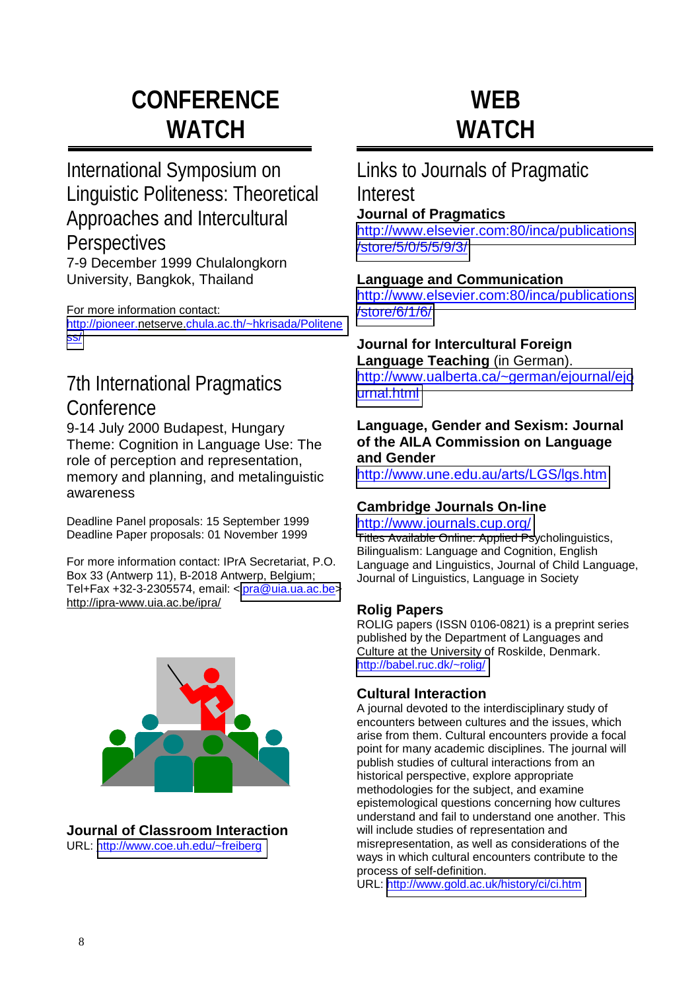# **CONFERENCE WATCH**

## International Symposium on Linguistic Politeness: Theoretical Approaches and Intercultural **Perspectives** 7-9 December 1999 Chulalongkorn

University, Bangkok, Thailand

For more information contact:

[http://pioneer.netserve.chula.ac.th/~hkrisada/Politene](http://pioneer.chula.ac.th/~hkrisada/Politeness/) [ss/](http://pioneer.chula.ac.th/~hkrisada/Politeness/)

## 7th International Pragmatics **Conference**

9-14 July 2000 Budapest, Hungary Theme: Cognition in Language Use: The role of perception and representation, memory and planning, and metalinguistic awareness

Deadline Panel proposals: 15 September 1999 Deadline Paper proposals: 01 November 1999

For more information contact: IPrA Secretariat, P.O. Box 33 (Antwerp 11), B-2018 Antwerp, Belgium; Tel+Fax +32-3-2305574, email: <[ipra@uia.ua.ac.be>](mailto:ipra@uia.ua.ac.be) http://ipra-www.uia.ac.be/ipra/



**Journal of Classroom Interaction**  URL: <http://www.coe.uh.edu/~freiberg>

# **WEB WATCH**

## Links to Journals of Pragmatic Interest

### **Journal of Pragmatics**

[http://www.elsevier.com:80/inca/publications](http://www.elsevier.com/inca/publications/store/5/0/5/5/9/3/) [/store/5/0/5/5/9/3/](http://www.elsevier.com/inca/publications/store/5/0/5/5/9/3/)

### **Language and Communication**

[http://www.elsevier.com:80/inca/publications](http://www.elsevier.com/inca/publications/store/6/1/6/) [/store/6/1/6/](http://www.elsevier.com/inca/publications/store/6/1/6/)

#### **Journal for Intercultural Foreign Language Teaching** (in German).

[http://www.ualberta.ca/~german/ejournal/ejo](http://www.ualberta.ca/~german/ejournal/ejournal.html) [urnal.html](http://www.ualberta.ca/~german/ejournal/ejournal.html)

### **Language, Gender and Sexism: Journal of the AILA Commission on Language and Gender**

<http://www.une.edu.au/arts/LGS/lgs.htm>

### **Cambridge Journals On-line**

### <http://www.journals.cup.org/>

Titles Available Online: Applied Psycholinguistics, Bilingualism: Language and Cognition, English Language and Linguistics, Journal of Child Language, Journal of Linguistics, Language in Society

### **Rolig Papers**

ROLIG papers (ISSN 0106-0821) is a preprint series published by the Department of Languages and Culture at the University of Roskilde, Denmark. <http://babel.ruc.dk/~rolig/>

### **Cultural Interaction**

A journal devoted to the interdisciplinary study of encounters between cultures and the issues, which arise from them. Cultural encounters provide a focal point for many academic disciplines. The journal will publish studies of cultural interactions from an historical perspective, explore appropriate methodologies for the subject, and examine epistemological questions concerning how cultures understand and fail to understand one another. This will include studies of representation and misrepresentation, as well as considerations of the ways in which cultural encounters contribute to the process of self-definition.

URL: <http://www.gold.ac.uk/history/ci/ci.htm>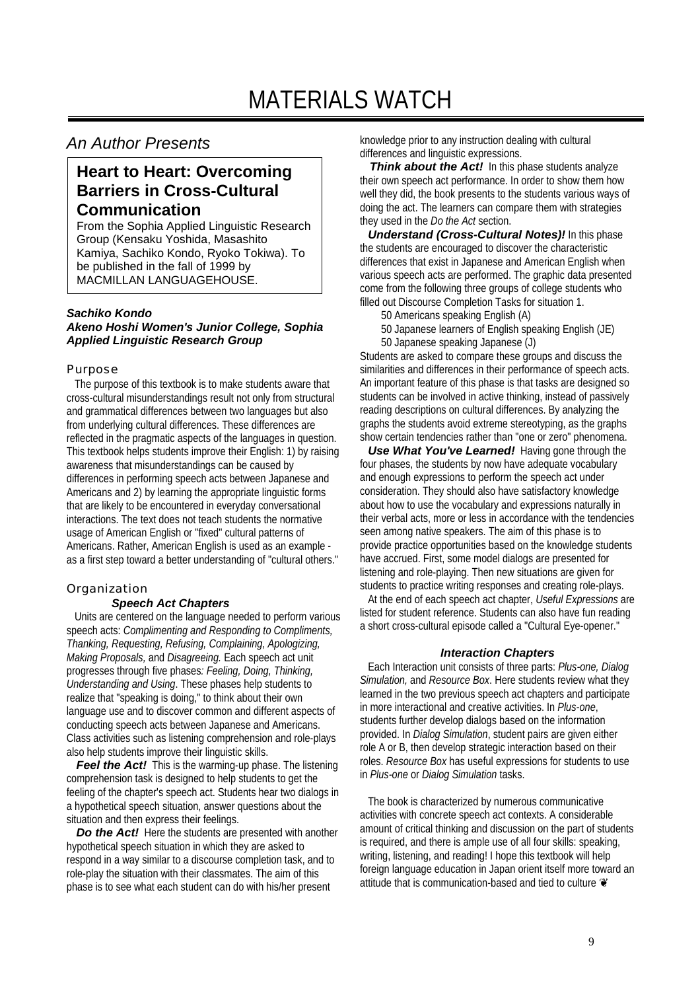### *An Author Presents*

## **Heart to Heart: Overcoming Barriers in Cross-Cultural Communication**

From the Sophia Applied Linguistic Research Group (Kensaku Yoshida, Masashito Kamiya, Sachiko Kondo, Ryoko Tokiwa). To be published in the fall of 1999 by MACMILLAN LANGUAGEHOUSE.

#### *Sachiko Kondo Akeno Hoshi Women's Junior College, Sophia Applied Linguistic Research Group*

#### Purpose

 The purpose of this textbook is to make students aware that cross-cultural misunderstandings result not only from structural and grammatical differences between two languages but also from underlying cultural differences. These differences are reflected in the pragmatic aspects of the languages in question. This textbook helps students improve their English: 1) by raising awareness that misunderstandings can be caused by differences in performing speech acts between Japanese and Americans and 2) by learning the appropriate linguistic forms that are likely to be encountered in everyday conversational interactions. The text does not teach students the normative usage of American English or "fixed" cultural patterns of Americans. Rather, American English is used as an example as a first step toward a better understanding of "cultural others."

#### Organization

#### *Speech Act Chapters*

 Units are centered on the language needed to perform various speech acts: *Complimenting and Responding to Compliments, Thanking, Requesting, Refusing, Complaining, Apologizing, Making Proposals,* and *Disagreeing.* Each speech act unit progresses through five phases*: Feeling, Doing, Thinking, Understanding and Using*. These phases help students to realize that "speaking is doing," to think about their own language use and to discover common and different aspects of conducting speech acts between Japanese and Americans. Class activities such as listening comprehension and role-plays also help students improve their linguistic skills.

*Feel the Act!* This is the warming-up phase. The listening comprehension task is designed to help students to get the feeling of the chapter's speech act. Students hear two dialogs in a hypothetical speech situation, answer questions about the situation and then express their feelings.

*Do the Act!* Here the students are presented with another hypothetical speech situation in which they are asked to respond in a way similar to a discourse completion task, and to role-play the situation with their classmates. The aim of this phase is to see what each student can do with his/her present

knowledge prior to any instruction dealing with cultural differences and linguistic expressions.

**Think about the Act!** In this phase students analyze their own speech act performance. In order to show them how well they did, the book presents to the students various ways of doing the act. The learners can compare them with strategies they used in the *Do the Act* section.

*Understand (Cross-Cultural Notes)!* In this phase the students are encouraged to discover the characteristic differences that exist in Japanese and American English when various speech acts are performed. The graphic data presented come from the following three groups of college students who filled out Discourse Completion Tasks for situation 1.

50 Americans speaking English (A)

50 Japanese learners of English speaking English (JE) 50 Japanese speaking Japanese (J)

Students are asked to compare these groups and discuss the similarities and differences in their performance of speech acts. An important feature of this phase is that tasks are designed so students can be involved in active thinking, instead of passively reading descriptions on cultural differences. By analyzing the graphs the students avoid extreme stereotyping, as the graphs show certain tendencies rather than "one or zero" phenomena.

*Use What You've Learned!* Having gone through the four phases, the students by now have adequate vocabulary and enough expressions to perform the speech act under consideration. They should also have satisfactory knowledge about how to use the vocabulary and expressions naturally in their verbal acts, more or less in accordance with the tendencies seen among native speakers. The aim of this phase is to provide practice opportunities based on the knowledge students have accrued. First, some model dialogs are presented for listening and role-playing. Then new situations are given for students to practice writing responses and creating role-plays.

 At the end of each speech act chapter, *Useful Expressions* are listed for student reference. Students can also have fun reading a short cross-cultural episode called a "Cultural Eye-opener."

#### *Interaction Chapters*

 Each Interaction unit consists of three parts: *Plus-one, Dialog Simulation,* and *Resource Box*. Here students review what they learned in the two previous speech act chapters and participate in more interactional and creative activities. In *Plus-one*, students further develop dialogs based on the information provided. In *Dialog Simulation*, student pairs are given either role A or B, then develop strategic interaction based on their roles. *Resource Box* has useful expressions for students to use in *Plus-one* or *Dialog Simulation* tasks.

 The book is characterized by numerous communicative activities with concrete speech act contexts. A considerable amount of critical thinking and discussion on the part of students is required, and there is ample use of all four skills: speaking, writing, listening, and reading! I hope this textbook will help foreign language education in Japan orient itself more toward an attitude that is communication-based and tied to culture  $\odot$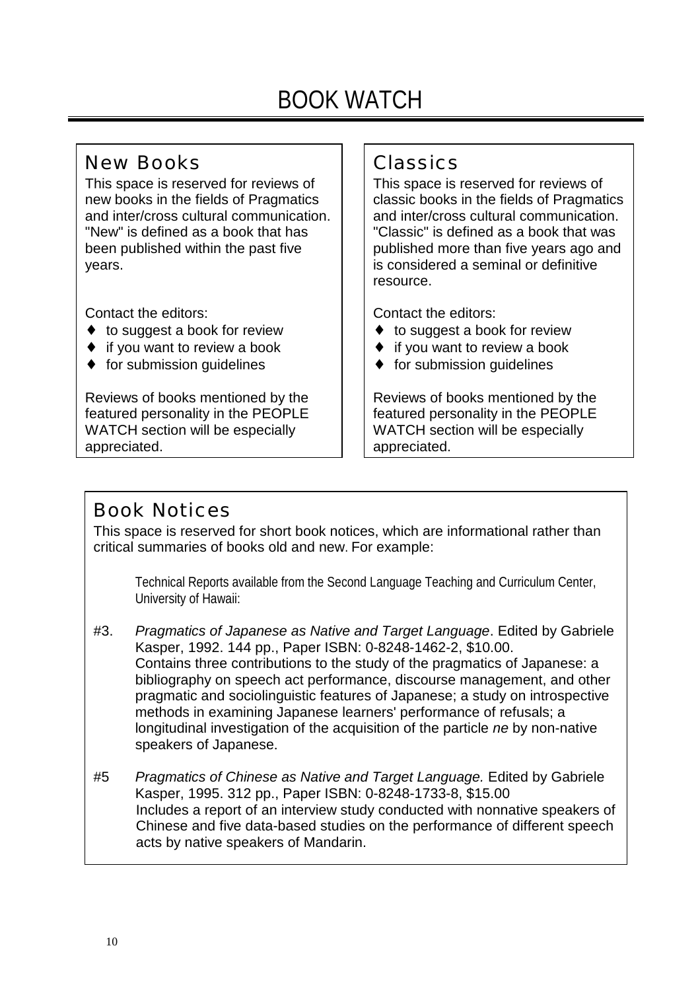# BOOK WATCH

## New Books

This space is reserved for reviews of new books in the fields of Pragmatics and inter/cross cultural communication. "New" is defined as a book that has been published within the past five years.

Contact the editors:

- ◆ to suggest a book for review
- $\bullet$  if you want to review a book
- ♦ for submission guidelines

Reviews of books mentioned by the featured personality in the PEOPLE WATCH section will be especially appreciated.

## Classics

This space is reserved for reviews of classic books in the fields of Pragmatics and inter/cross cultural communication. "Classic" is defined as a book that was published more than five years ago and is considered a seminal or definitive resource.

Contact the editors:

- ♦ to suggest a book for review
- ♦ if you want to review a book
- ♦ for submission guidelines

Reviews of books mentioned by the featured personality in the PEOPLE WATCH section will be especially appreciated.

## Book Notices

This space is reserved for short book notices, which are informational rather than critical summaries of books old and new. For example:

Technical Reports available from the Second Language Teaching and Curriculum Center, University of Hawaii:

- #3. *Pragmatics of Japanese as Native and Target Language*. Edited by Gabriele Kasper, 1992. 144 pp., Paper ISBN: 0-8248-1462-2, \$10.00. Contains three contributions to the study of the pragmatics of Japanese: a bibliography on speech act performance, discourse management, and other pragmatic and sociolinguistic features of Japanese; a study on introspective methods in examining Japanese learners' performance of refusals; a longitudinal investigation of the acquisition of the particle *ne* by non-native speakers of Japanese.
- #5 *Pragmatics of Chinese as Native and Target Language.* Edited by Gabriele Kasper, 1995. 312 pp., Paper ISBN: 0-8248-1733-8, \$15.00 Includes a report of an interview study conducted with nonnative speakers of Chinese and five data-based studies on the performance of different speech acts by native speakers of Mandarin.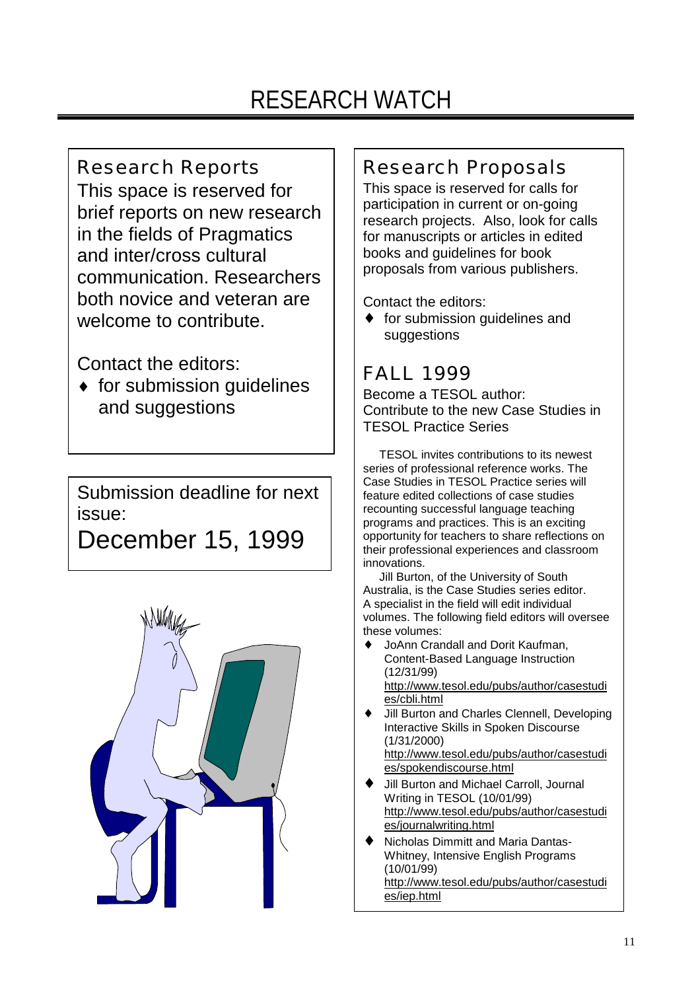# RESEARCH WATCH

## Research Reports

This space is reserved for brief reports on new research in the fields of Pragmatics and inter/cross cultural communication. Researchers both novice and veteran are welcome to contribute.

Contact the editors:

 $\bullet$  for submission quidelines and suggestions

Submission deadline for next issue:

December 15, 1999



## Research Proposals

This space is reserved for calls for participation in current or on-going research projects. Also, look for calls for manuscripts or articles in edited books and guidelines for book proposals from various publishers.

Contact the editors:

♦ for submission guidelines and suggestions

## FALL 1999

Become a TESOL author: Contribute to the new Case Studies in TESOL Practice Series

 TESOL invites contributions to its newest series of professional reference works. The Case Studies in TESOL Practice series will feature edited collections of case studies recounting successful language teaching programs and practices. This is an exciting opportunity for teachers to share reflections on their professional experiences and classroom innovations.

 Jill Burton, of the University of South Australia, is the Case Studies series editor. A specialist in the field will edit individual volumes. The following field editors will oversee these volumes:

- JoAnn Crandall and Dorit Kaufman. Content-Based Language Instruction (12/31/99) http://www.tesol.edu/pubs/author/casestudi es/cbli.html
- Jill Burton and Charles Clennell, Developing Interactive Skills in Spoken Discourse (1/31/2000) http://www.tesol.edu/pubs/author/casestudi es/spokendiscourse.html
- Jill Burton and Michael Carroll, Journal Writing in TESOL (10/01/99) http://www.tesol.edu/pubs/author/casestudi es/journalwriting.html
- Nicholas Dimmitt and Maria Dantas-Whitney, Intensive English Programs (10/01/99) http://www.tesol.edu/pubs/author/casestudi es/iep.html